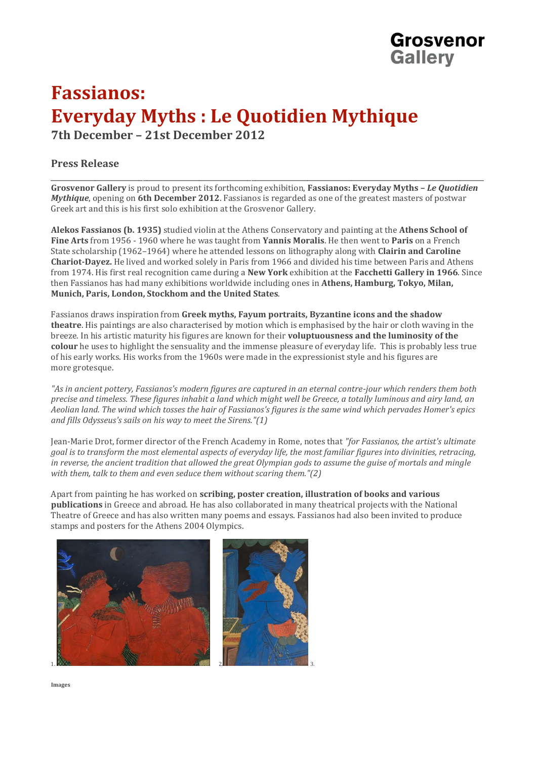## **Fassianos: Everyday Myths : Le Quotidien Mythique 7th December – 21st December 2012**

## **Press Release**

\_\_\_\_\_\_\_\_\_\_\_\_\_\_\_\_\_\_\_\_\_\_\_\_\_\_\_\_\_\_\_\_\_\_\_\_\_\_\_\_\_\_\_\_\_\_\_\_\_\_\_\_\_\_\_\_\_\_\_\_\_\_\_\_\_\_\_\_\_\_\_\_\_\_\_\_\_\_\_\_\_\_\_\_\_\_\_\_\_\_\_\_\_\_\_\_\_\_\_\_\_\_\_\_\_\_\_\_ **Grosvenor Gallery** is proud to present its forthcoming exhibition, **Fassianos: Everyday Myths –** *Le Quotidien Mythique*, opening on **6th December 2012**. Fassianos is regarded as one of the greatest masters of postwar Greek art and this is his first solo exhibition at the Grosvenor Gallery.

Grosvenor

**Gallery** 

**Alekos Fassianos (b. 1935)** studied violin at the Athens Conservatory and painting at the **Athens School of Fine Arts** from 1956 - 1960 where he was taught from **Yannis Moralis**. He then went to **Paris** on a French State scholarship (1962–1964) where he attended lessons on lithography along with **Clairin and Caroline Chariot-Dayez.** He lived and worked solely in Paris from 1966 and divided his time between Paris and Athens from 1974. His first real recognition came during a **New York** exhibition at the **Facchetti Gallery in 1966**. Since then Fassianos has had many exhibitions worldwide including ones in **Athens, Hamburg, Tokyo, Milan, Munich, Paris, London, Stockhom and the United States**.

Fassianos draws inspiration from **Greek myths, Fayum portraits, Byzantine icons and the shadow theatre**. His paintings are also characterised by motion which is emphasised by the hair or cloth waving in the breeze. In his artistic maturity his figures are known for their **voluptuousness and the luminosity of the colour** he uses to highlight the sensuality and the immense pleasure of everyday life. This is probably less true of his early works. His works from the 1960s were made in the expressionist style and his figures are more grotesque.

*"As in ancient pottery, Fassianos's modern figures are captured in an eternal contre-jour which renders them both precise and timeless. These figures inhabit a land which might well be Greece, a totally luminous and airy land, an Aeolian land. The wind which tosses the hair of Fassianos's figures is the same wind which pervades Homer's epics and fills Odysseus's sails on his way to meet the Sirens."(1)*

Jean-Marie Drot, former director of the French Academy in Rome, notes that *"for Fassianos, the artist's ultimate goal is to transform the most elemental aspects of everyday life, the most familiar figures into divinities, retracing, in reverse, the ancient tradition that allowed the great Olympian gods to assume the guise of mortals and mingle with them, talk to them and even seduce them without scaring them."(2)*

Apart from painting he has worked on **scribing, poster creation, illustration of books and various publications** in Greece and abroad. He has also collaborated in many theatrical projects with the National Theatre of Greece and has also written many poems and essays. Fassianos had also been invited to produce stamps and posters for the Athens 2004 Olympics.



**Images**